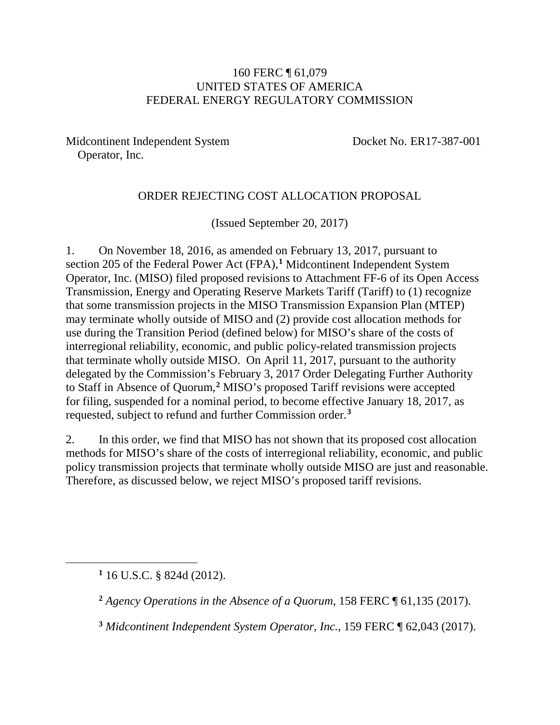#### 160 FERC ¶ 61,079 UNITED STATES OF AMERICA FEDERAL ENERGY REGULATORY COMMISSION

Midcontinent Independent System Operator, Inc.

Docket No. ER17-387-001

#### ORDER REJECTING COST ALLOCATION PROPOSAL

(Issued September 20, 2017)

1. On November 18, 2016, as amended on February 13, 2017, pursuant to section 205 of the Federal Power Act (FPA), **[1](#page-0-0)** Midcontinent Independent System Operator, Inc. (MISO) filed proposed revisions to Attachment FF-6 of its Open Access Transmission, Energy and Operating Reserve Markets Tariff (Tariff) to (1) recognize that some transmission projects in the MISO Transmission Expansion Plan (MTEP) may terminate wholly outside of MISO and (2) provide cost allocation methods for use during the Transition Period (defined below) for MISO's share of the costs of interregional reliability, economic, and public policy-related transmission projects that terminate wholly outside MISO. On April 11, 2017, pursuant to the authority delegated by the Commission's February 3, 2017 Order Delegating Further Authority to Staff in Absence of Quorum,**[2](#page-0-1)** MISO's proposed Tariff revisions were accepted for filing, suspended for a nominal period, to become effective January 18, 2017, as requested, subject to refund and further Commission order.**[3](#page-0-2)**

2. In this order, we find that MISO has not shown that its proposed cost allocation methods for MISO's share of the costs of interregional reliability, economic, and public policy transmission projects that terminate wholly outside MISO are just and reasonable. Therefore, as discussed below, we reject MISO's proposed tariff revisions.

<span id="page-0-2"></span><span id="page-0-1"></span><span id="page-0-0"></span> $\overline{a}$ 

**<sup>1</sup>** 16 U.S.C. § 824d (2012).

**<sup>2</sup>** *Agency Operations in the Absence of a Quorum*, 158 FERC ¶ 61,135 (2017).

**<sup>3</sup>** *Midcontinent Independent System Operator, Inc.*, 159 FERC ¶ 62,043 (2017).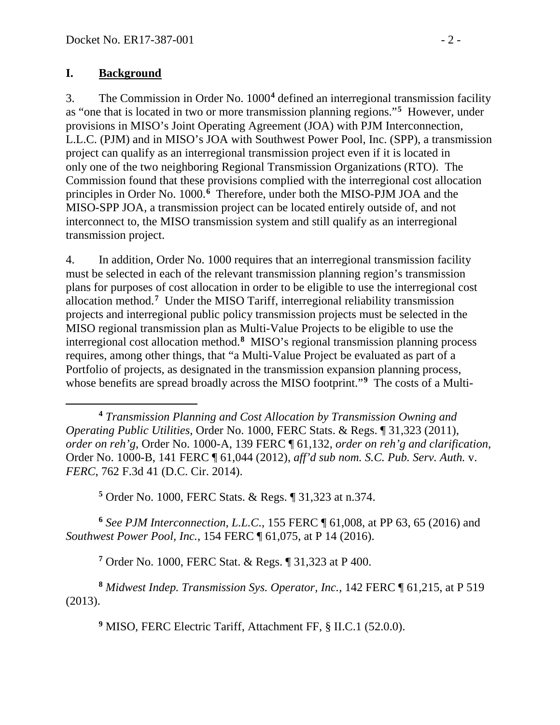#### **I. Background**

 $\overline{a}$ 

3. The Commission in Order No. 1000**[4](#page-1-0)** defined an interregional transmission facility as "one that is located in two or more transmission planning regions."**[5](#page-1-1)** However, under provisions in MISO's Joint Operating Agreement (JOA) with PJM Interconnection, L.L.C. (PJM) and in MISO's JOA with Southwest Power Pool, Inc. (SPP), a transmission project can qualify as an interregional transmission project even if it is located in only one of the two neighboring Regional Transmission Organizations (RTO). The Commission found that these provisions complied with the interregional cost allocation principles in Order No. 1000.<sup>[6](#page-1-2)</sup> Therefore, under both the MISO-PJM JOA and the MISO-SPP JOA, a transmission project can be located entirely outside of, and not interconnect to, the MISO transmission system and still qualify as an interregional transmission project.

4. In addition, Order No. 1000 requires that an interregional transmission facility must be selected in each of the relevant transmission planning region's transmission plans for purposes of cost allocation in order to be eligible to use the interregional cost allocation method.**[7](#page-1-3)** Under the MISO Tariff, interregional reliability transmission projects and interregional public policy transmission projects must be selected in the MISO regional transmission plan as Multi-Value Projects to be eligible to use the interregional cost allocation method.**[8](#page-1-4)** MISO's regional transmission planning process requires, among other things, that "a Multi-Value Project be evaluated as part of a Portfolio of projects, as designated in the transmission expansion planning process, whose benefits are spread broadly across the MISO footprint."<sup>[9](#page-1-5)</sup> The costs of a Multi-

<span id="page-1-0"></span>**<sup>4</sup>** *Transmission Planning and Cost Allocation by Transmission Owning and Operating Public Utilities*, Order No. 1000, FERC Stats. & Regs. ¶ 31,323 (2011), *order on reh'g*, Order No. 1000-A, 139 FERC ¶ 61,132, *order on reh'g and clarification*, Order No. 1000-B, 141 FERC ¶ 61,044 (2012), *aff'd sub nom. S.C. Pub. Serv. Auth.* v. *FERC*, 762 F.3d 41 (D.C. Cir. 2014).

**<sup>5</sup>** Order No. 1000, FERC Stats. & Regs. ¶ 31,323 at n.374.

<span id="page-1-2"></span><span id="page-1-1"></span>**<sup>6</sup>** *See PJM Interconnection, L.L.C.*, 155 FERC ¶ 61,008, at PP 63, 65 (2016) and *Southwest Power Pool, Inc.*, 154 FERC ¶ 61,075, at P 14 (2016).

**<sup>7</sup>** Order No. 1000, FERC Stat. & Regs. ¶ 31,323 at P 400.

<span id="page-1-5"></span><span id="page-1-4"></span><span id="page-1-3"></span>**<sup>8</sup>** *Midwest Indep. Transmission Sys. Operator, Inc.*, 142 FERC ¶ 61,215, at P 519 (2013).

**<sup>9</sup>** MISO, FERC Electric Tariff, Attachment FF, § II.C.1 (52.0.0).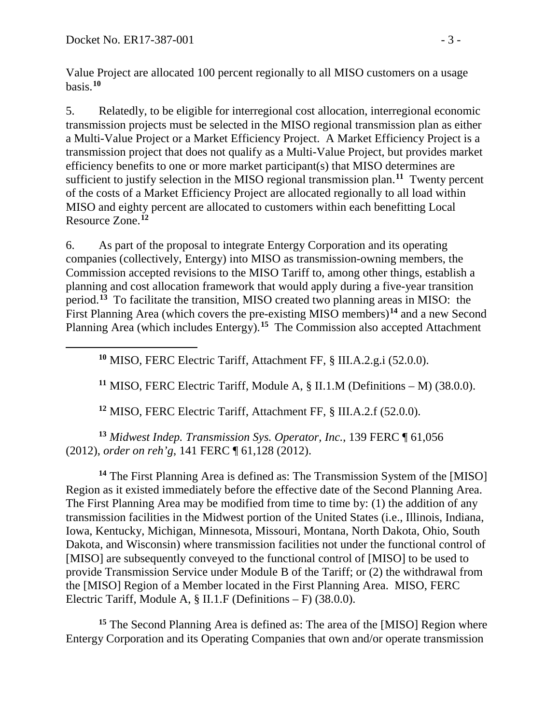<span id="page-2-1"></span><span id="page-2-0"></span> $\overline{a}$ 

Value Project are allocated 100 percent regionally to all MISO customers on a usage basis.**[10](#page-2-0)**

5. Relatedly, to be eligible for interregional cost allocation, interregional economic transmission projects must be selected in the MISO regional transmission plan as either a Multi-Value Project or a Market Efficiency Project. A Market Efficiency Project is a transmission project that does not qualify as a Multi-Value Project, but provides market efficiency benefits to one or more market participant(s) that MISO determines are sufficient to justify selection in the MISO regional transmission plan.**[11](#page-2-1)** Twenty percent of the costs of a Market Efficiency Project are allocated regionally to all load within MISO and eighty percent are allocated to customers within each benefitting Local Resource Zone.**[12](#page-2-2)**

6. As part of the proposal to integrate Entergy Corporation and its operating companies (collectively, Entergy) into MISO as transmission-owning members, the Commission accepted revisions to the MISO Tariff to, among other things, establish a planning and cost allocation framework that would apply during a five-year transition period.**[13](#page-2-3)** To facilitate the transition, MISO created two planning areas in MISO: the First Planning Area (which covers the pre-existing MISO members)**[14](#page-2-4)** and a new Second Planning Area (which includes Entergy). **[15](#page-2-5)** The Commission also accepted Attachment

**<sup>10</sup>** MISO, FERC Electric Tariff, Attachment FF, § III.A.2.g.i (52.0.0).

**<sup>11</sup>** MISO, FERC Electric Tariff, Module A, § II.1.M (Definitions – M) (38.0.0).

**<sup>12</sup>** MISO, FERC Electric Tariff, Attachment FF, § III.A.2.f (52.0.0).

<span id="page-2-3"></span><span id="page-2-2"></span>**<sup>13</sup>** *Midwest Indep. Transmission Sys. Operator, Inc.*, 139 FERC ¶ 61,056 (2012), *order on reh'g*, 141 FERC ¶ 61,128 (2012).

<span id="page-2-4"></span>**<sup>14</sup>** The First Planning Area is defined as: The Transmission System of the [MISO] Region as it existed immediately before the effective date of the Second Planning Area. The First Planning Area may be modified from time to time by: (1) the addition of any transmission facilities in the Midwest portion of the United States (i.e., Illinois, Indiana, Iowa, Kentucky, Michigan, Minnesota, Missouri, Montana, North Dakota, Ohio, South Dakota, and Wisconsin) where transmission facilities not under the functional control of [MISO] are subsequently conveyed to the functional control of [MISO] to be used to provide Transmission Service under Module B of the Tariff; or (2) the withdrawal from the [MISO] Region of a Member located in the First Planning Area. MISO, FERC Electric Tariff, Module A, § II.1.F (Definitions – F) (38.0.0).

<span id="page-2-5"></span>**<sup>15</sup>** The Second Planning Area is defined as: The area of the [MISO] Region where Entergy Corporation and its Operating Companies that own and/or operate transmission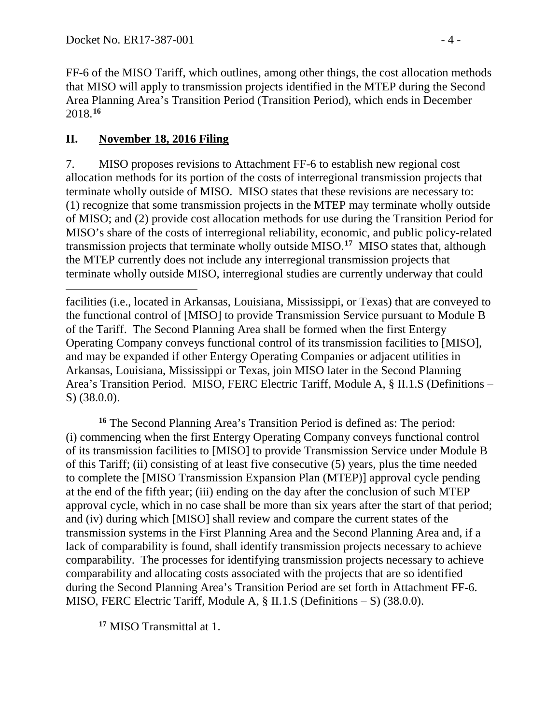FF-6 of the MISO Tariff, which outlines, among other things, the cost allocation methods that MISO will apply to transmission projects identified in the MTEP during the Second Area Planning Area's Transition Period (Transition Period), which ends in December 2018. **[16](#page-3-0)**

#### **II. November 18, 2016 Filing**

 $\overline{a}$ 

7. MISO proposes revisions to Attachment FF-6 to establish new regional cost allocation methods for its portion of the costs of interregional transmission projects that terminate wholly outside of MISO. MISO states that these revisions are necessary to: (1) recognize that some transmission projects in the MTEP may terminate wholly outside of MISO; and (2) provide cost allocation methods for use during the Transition Period for MISO's share of the costs of interregional reliability, economic, and public policy-related transmission projects that terminate wholly outside MISO.**[17](#page-3-1)** MISO states that, although the MTEP currently does not include any interregional transmission projects that terminate wholly outside MISO, interregional studies are currently underway that could

<span id="page-3-0"></span>**<sup>16</sup>** The Second Planning Area's Transition Period is defined as: The period: (i) commencing when the first Entergy Operating Company conveys functional control of its transmission facilities to [MISO] to provide Transmission Service under Module B of this Tariff; (ii) consisting of at least five consecutive (5) years, plus the time needed to complete the [MISO Transmission Expansion Plan (MTEP)] approval cycle pending at the end of the fifth year; (iii) ending on the day after the conclusion of such MTEP approval cycle, which in no case shall be more than six years after the start of that period; and (iv) during which [MISO] shall review and compare the current states of the transmission systems in the First Planning Area and the Second Planning Area and, if a lack of comparability is found, shall identify transmission projects necessary to achieve comparability. The processes for identifying transmission projects necessary to achieve comparability and allocating costs associated with the projects that are so identified during the Second Planning Area's Transition Period are set forth in Attachment FF-6. MISO, FERC Electric Tariff, Module A, § II.1.S (Definitions – S) (38.0.0).

<span id="page-3-1"></span>**<sup>17</sup>** MISO Transmittal at 1.

facilities (i.e., located in Arkansas, Louisiana, Mississippi, or Texas) that are conveyed to the functional control of [MISO] to provide Transmission Service pursuant to Module B of the Tariff. The Second Planning Area shall be formed when the first Entergy Operating Company conveys functional control of its transmission facilities to [MISO], and may be expanded if other Entergy Operating Companies or adjacent utilities in Arkansas, Louisiana, Mississippi or Texas, join MISO later in the Second Planning Area's Transition Period. MISO, FERC Electric Tariff, Module A, § II.1.S (Definitions – S) (38.0.0).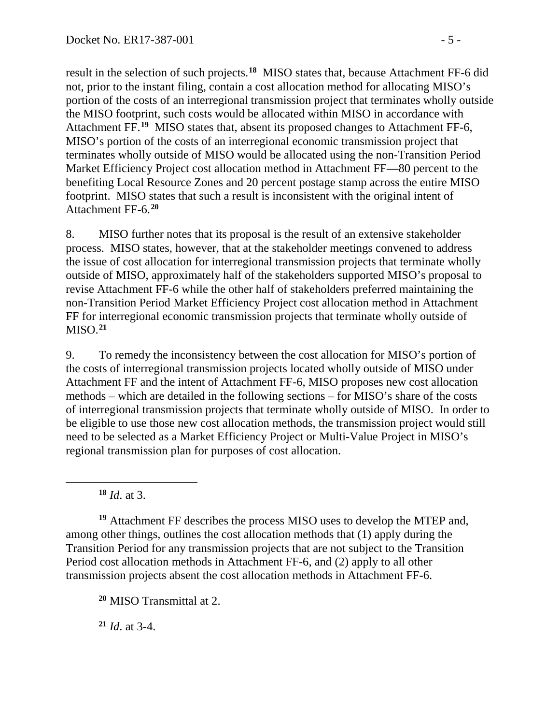result in the selection of such projects.**[18](#page-4-0)** MISO states that, because Attachment FF-6 did not, prior to the instant filing, contain a cost allocation method for allocating MISO's portion of the costs of an interregional transmission project that terminates wholly outside the MISO footprint, such costs would be allocated within MISO in accordance with Attachment FF.**[19](#page-4-1)** MISO states that, absent its proposed changes to Attachment FF-6, MISO's portion of the costs of an interregional economic transmission project that terminates wholly outside of MISO would be allocated using the non-Transition Period Market Efficiency Project cost allocation method in Attachment FF—80 percent to the benefiting Local Resource Zones and 20 percent postage stamp across the entire MISO footprint. MISO states that such a result is inconsistent with the original intent of Attachment FF-6. **[20](#page-4-2)**

8. MISO further notes that its proposal is the result of an extensive stakeholder process. MISO states, however, that at the stakeholder meetings convened to address the issue of cost allocation for interregional transmission projects that terminate wholly outside of MISO, approximately half of the stakeholders supported MISO's proposal to revise Attachment FF-6 while the other half of stakeholders preferred maintaining the non-Transition Period Market Efficiency Project cost allocation method in Attachment FF for interregional economic transmission projects that terminate wholly outside of MISO.**[21](#page-4-3)**

9. To remedy the inconsistency between the cost allocation for MISO's portion of the costs of interregional transmission projects located wholly outside of MISO under Attachment FF and the intent of Attachment FF-6, MISO proposes new cost allocation methods – which are detailed in the following sections – for MISO's share of the costs of interregional transmission projects that terminate wholly outside of MISO. In order to be eligible to use those new cost allocation methods, the transmission project would still need to be selected as a Market Efficiency Project or Multi-Value Project in MISO's regional transmission plan for purposes of cost allocation.

**<sup>18</sup>** *Id*. at 3.

<span id="page-4-0"></span> $\overline{a}$ 

<span id="page-4-1"></span>**<sup>19</sup>** Attachment FF describes the process MISO uses to develop the MTEP and, among other things, outlines the cost allocation methods that (1) apply during the Transition Period for any transmission projects that are not subject to the Transition Period cost allocation methods in Attachment FF-6, and (2) apply to all other transmission projects absent the cost allocation methods in Attachment FF-6.

<span id="page-4-2"></span>**<sup>20</sup>** MISO Transmittal at 2.

<span id="page-4-3"></span>**<sup>21</sup>** *Id*. at 3-4.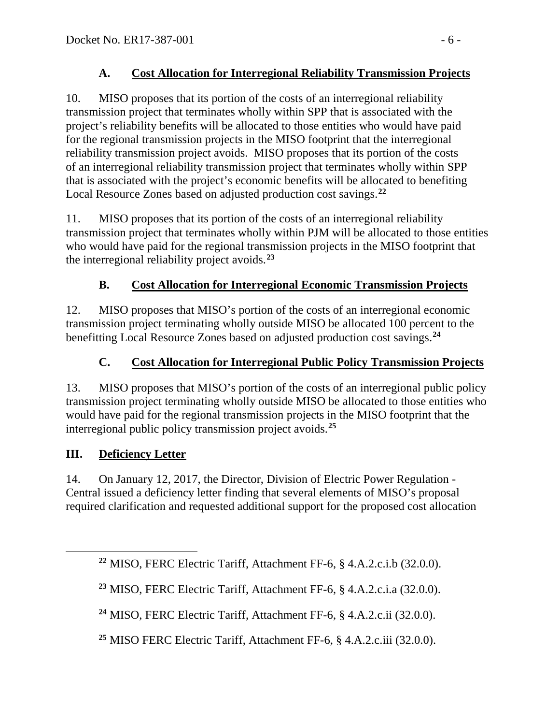### **A. Cost Allocation for Interregional Reliability Transmission Projects**

10. MISO proposes that its portion of the costs of an interregional reliability transmission project that terminates wholly within SPP that is associated with the project's reliability benefits will be allocated to those entities who would have paid for the regional transmission projects in the MISO footprint that the interregional reliability transmission project avoids. MISO proposes that its portion of the costs of an interregional reliability transmission project that terminates wholly within SPP that is associated with the project's economic benefits will be allocated to benefiting Local Resource Zones based on adjusted production cost savings. **[22](#page-5-0)**

11. MISO proposes that its portion of the costs of an interregional reliability transmission project that terminates wholly within PJM will be allocated to those entities who would have paid for the regional transmission projects in the MISO footprint that the interregional reliability project avoids.**[23](#page-5-1)**

## **B. Cost Allocation for Interregional Economic Transmission Projects**

12. MISO proposes that MISO's portion of the costs of an interregional economic transmission project terminating wholly outside MISO be allocated 100 percent to the benefitting Local Resource Zones based on adjusted production cost savings. **[24](#page-5-2)**

#### **C. Cost Allocation for Interregional Public Policy Transmission Projects**

13. MISO proposes that MISO's portion of the costs of an interregional public policy transmission project terminating wholly outside MISO be allocated to those entities who would have paid for the regional transmission projects in the MISO footprint that the interregional public policy transmission project avoids.**[25](#page-5-3)**

#### **III. Deficiency Letter**

<span id="page-5-2"></span><span id="page-5-1"></span><span id="page-5-0"></span> $\overline{a}$ 

14. On January 12, 2017, the Director, Division of Electric Power Regulation - Central issued a deficiency letter finding that several elements of MISO's proposal required clarification and requested additional support for the proposed cost allocation

**<sup>22</sup>** MISO, FERC Electric Tariff, Attachment FF-6, § 4.A.2.c.i.b (32.0.0).

**<sup>23</sup>** MISO, FERC Electric Tariff, Attachment FF-6, § 4.A.2.c.i.a (32.0.0).

**<sup>24</sup>** MISO, FERC Electric Tariff, Attachment FF-6, § 4.A.2.c.ii (32.0.0).

<span id="page-5-3"></span>**<sup>25</sup>** MISO FERC Electric Tariff, Attachment FF-6, § 4.A.2.c.iii (32.0.0).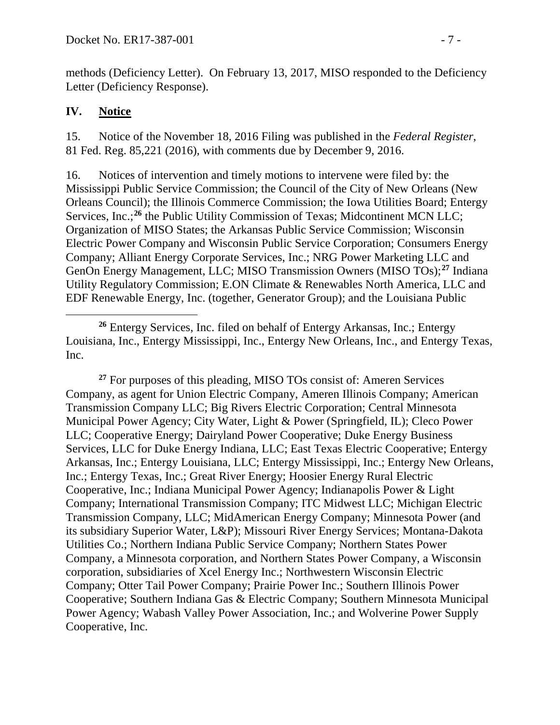methods (Deficiency Letter). On February 13, 2017, MISO responded to the Deficiency Letter (Deficiency Response).

#### **IV. Notice**

 $\overline{a}$ 

15. Notice of the November 18, 2016 Filing was published in the *Federal Register*, 81 Fed. Reg. 85,221 (2016), with comments due by December 9, 2016.

16. Notices of intervention and timely motions to intervene were filed by: the Mississippi Public Service Commission; the Council of the City of New Orleans (New Orleans Council); the Illinois Commerce Commission; the Iowa Utilities Board; Entergy Services, Inc.;<sup>[26](#page-6-0)</sup> the Public Utility Commission of Texas; Midcontinent MCN LLC; Organization of MISO States; the Arkansas Public Service Commission; Wisconsin Electric Power Company and Wisconsin Public Service Corporation; Consumers Energy Company; Alliant Energy Corporate Services, Inc.; NRG Power Marketing LLC and GenOn Energy Management, LLC; MISO Transmission Owners (MISO TOs);**[27](#page-6-1)** Indiana Utility Regulatory Commission; E.ON Climate & Renewables North America, LLC and EDF Renewable Energy, Inc. (together, Generator Group); and the Louisiana Public

<span id="page-6-1"></span>**<sup>27</sup>** For purposes of this pleading, MISO TOs consist of: Ameren Services Company, as agent for Union Electric Company, Ameren Illinois Company; American Transmission Company LLC; Big Rivers Electric Corporation; Central Minnesota Municipal Power Agency; City Water, Light & Power (Springfield, IL); Cleco Power LLC; Cooperative Energy; Dairyland Power Cooperative; Duke Energy Business Services, LLC for Duke Energy Indiana, LLC; East Texas Electric Cooperative; Entergy Arkansas, Inc.; Entergy Louisiana, LLC; Entergy Mississippi, Inc.; Entergy New Orleans, Inc.; Entergy Texas, Inc.; Great River Energy; Hoosier Energy Rural Electric Cooperative, Inc.; Indiana Municipal Power Agency; Indianapolis Power & Light Company; International Transmission Company; ITC Midwest LLC; Michigan Electric Transmission Company, LLC; MidAmerican Energy Company; Minnesota Power (and its subsidiary Superior Water, L&P); Missouri River Energy Services; Montana-Dakota Utilities Co.; Northern Indiana Public Service Company; Northern States Power Company, a Minnesota corporation, and Northern States Power Company, a Wisconsin corporation, subsidiaries of Xcel Energy Inc.; Northwestern Wisconsin Electric Company; Otter Tail Power Company; Prairie Power Inc.; Southern Illinois Power Cooperative; Southern Indiana Gas & Electric Company; Southern Minnesota Municipal Power Agency; Wabash Valley Power Association, Inc.; and Wolverine Power Supply Cooperative, Inc.

<span id="page-6-0"></span>**<sup>26</sup>** Entergy Services, Inc. filed on behalf of Entergy Arkansas, Inc.; Entergy Louisiana, Inc., Entergy Mississippi, Inc., Entergy New Orleans, Inc., and Entergy Texas, Inc.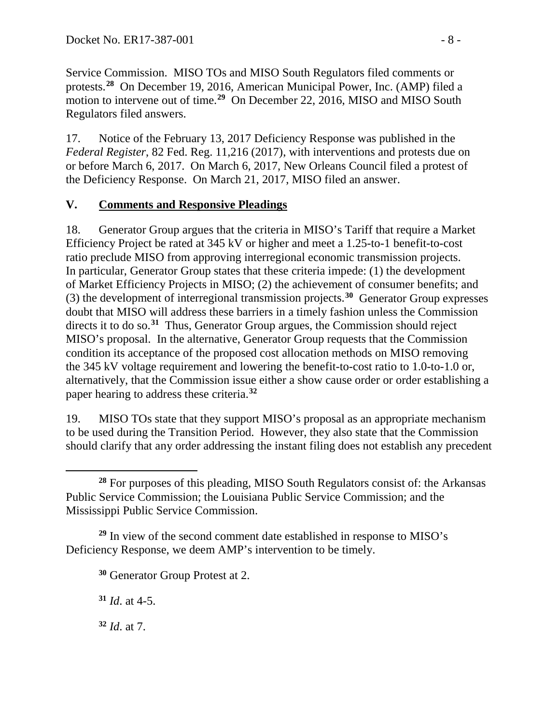Service Commission. MISO TOs and MISO South Regulators filed comments or protests.**[28](#page-7-0)** On December 19, 2016, American Municipal Power, Inc. (AMP) filed a motion to intervene out of time.**[29](#page-7-1)** On December 22, 2016, MISO and MISO South Regulators filed answers.

17. Notice of the February 13, 2017 Deficiency Response was published in the *Federal Register*, 82 Fed. Reg. 11,216 (2017), with interventions and protests due on or before March 6, 2017. On March 6, 2017, New Orleans Council filed a protest of the Deficiency Response. On March 21, 2017, MISO filed an answer.

### **V. Comments and Responsive Pleadings**

18. Generator Group argues that the criteria in MISO's Tariff that require a Market Efficiency Project be rated at 345 kV or higher and meet a 1.25-to-1 benefit-to-cost ratio preclude MISO from approving interregional economic transmission projects. In particular, Generator Group states that these criteria impede: (1) the development of Market Efficiency Projects in MISO; (2) the achievement of consumer benefits; and (3) the development of interregional transmission projects. **[30](#page-7-2)** Generator Group expresses doubt that MISO will address these barriers in a timely fashion unless the Commission directs it to do so.**[31](#page-7-3)** Thus, Generator Group argues, the Commission should reject MISO's proposal. In the alternative, Generator Group requests that the Commission condition its acceptance of the proposed cost allocation methods on MISO removing the 345 kV voltage requirement and lowering the benefit-to-cost ratio to 1.0-to-1.0 or, alternatively, that the Commission issue either a show cause order or order establishing a paper hearing to address these criteria. **[32](#page-7-4)**

19. MISO TOs state that they support MISO's proposal as an appropriate mechanism to be used during the Transition Period. However, they also state that the Commission should clarify that any order addressing the instant filing does not establish any precedent

<span id="page-7-3"></span><span id="page-7-2"></span><span id="page-7-1"></span>**<sup>29</sup>** In view of the second comment date established in response to MISO's Deficiency Response, we deem AMP's intervention to be timely.

**<sup>30</sup>** Generator Group Protest at 2.

**<sup>31</sup>** *Id*. at 4-5.

<span id="page-7-4"></span>**<sup>32</sup>** *Id*. at 7.

<span id="page-7-0"></span> $\overline{a}$ **<sup>28</sup>** For purposes of this pleading, MISO South Regulators consist of: the Arkansas Public Service Commission; the Louisiana Public Service Commission; and the Mississippi Public Service Commission.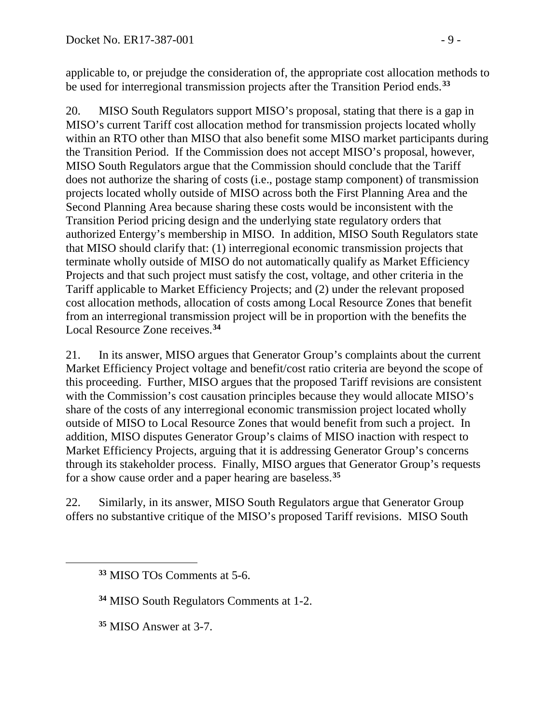applicable to, or prejudge the consideration of, the appropriate cost allocation methods to be used for interregional transmission projects after the Transition Period ends.**[33](#page-8-0)**

20. MISO South Regulators support MISO's proposal, stating that there is a gap in MISO's current Tariff cost allocation method for transmission projects located wholly within an RTO other than MISO that also benefit some MISO market participants during the Transition Period. If the Commission does not accept MISO's proposal, however, MISO South Regulators argue that the Commission should conclude that the Tariff does not authorize the sharing of costs (i.e., postage stamp component) of transmission projects located wholly outside of MISO across both the First Planning Area and the Second Planning Area because sharing these costs would be inconsistent with the Transition Period pricing design and the underlying state regulatory orders that authorized Entergy's membership in MISO. In addition, MISO South Regulators state that MISO should clarify that: (1) interregional economic transmission projects that terminate wholly outside of MISO do not automatically qualify as Market Efficiency Projects and that such project must satisfy the cost, voltage, and other criteria in the Tariff applicable to Market Efficiency Projects; and (2) under the relevant proposed cost allocation methods, allocation of costs among Local Resource Zones that benefit from an interregional transmission project will be in proportion with the benefits the Local Resource Zone receives. **[34](#page-8-1)**

21. In its answer, MISO argues that Generator Group's complaints about the current Market Efficiency Project voltage and benefit/cost ratio criteria are beyond the scope of this proceeding. Further, MISO argues that the proposed Tariff revisions are consistent with the Commission's cost causation principles because they would allocate MISO's share of the costs of any interregional economic transmission project located wholly outside of MISO to Local Resource Zones that would benefit from such a project. In addition, MISO disputes Generator Group's claims of MISO inaction with respect to Market Efficiency Projects, arguing that it is addressing Generator Group's concerns through its stakeholder process. Finally, MISO argues that Generator Group's requests for a show cause order and a paper hearing are baseless.**[35](#page-8-2)**

22. Similarly, in its answer, MISO South Regulators argue that Generator Group offers no substantive critique of the MISO's proposed Tariff revisions. MISO South

**<sup>34</sup>** MISO South Regulators Comments at 1-2.

**<sup>35</sup>** MISO Answer at 3-7.

<span id="page-8-2"></span><span id="page-8-1"></span><span id="page-8-0"></span> $\overline{a}$ 

**<sup>33</sup>** MISO TOs Comments at 5-6.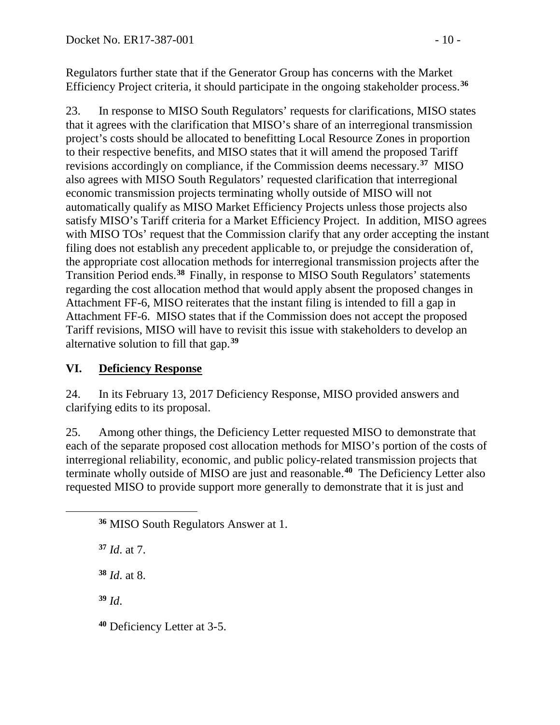Regulators further state that if the Generator Group has concerns with the Market Efficiency Project criteria, it should participate in the ongoing stakeholder process.**[36](#page-9-0)**

23. In response to MISO South Regulators' requests for clarifications, MISO states that it agrees with the clarification that MISO's share of an interregional transmission project's costs should be allocated to benefitting Local Resource Zones in proportion to their respective benefits, and MISO states that it will amend the proposed Tariff revisions accordingly on compliance, if the Commission deems necessary. **[37](#page-9-1)** MISO also agrees with MISO South Regulators' requested clarification that interregional economic transmission projects terminating wholly outside of MISO will not automatically qualify as MISO Market Efficiency Projects unless those projects also satisfy MISO's Tariff criteria for a Market Efficiency Project. In addition, MISO agrees with MISO TOs' request that the Commission clarify that any order accepting the instant filing does not establish any precedent applicable to, or prejudge the consideration of, the appropriate cost allocation methods for interregional transmission projects after the Transition Period ends.**[38](#page-9-2)** Finally, in response to MISO South Regulators' statements regarding the cost allocation method that would apply absent the proposed changes in Attachment FF-6, MISO reiterates that the instant filing is intended to fill a gap in Attachment FF-6. MISO states that if the Commission does not accept the proposed Tariff revisions, MISO will have to revisit this issue with stakeholders to develop an alternative solution to fill that gap. **[39](#page-9-3)**

## **VI. Deficiency Response**

24. In its February 13, 2017 Deficiency Response, MISO provided answers and clarifying edits to its proposal.

25. Among other things, the Deficiency Letter requested MISO to demonstrate that each of the separate proposed cost allocation methods for MISO's portion of the costs of interregional reliability, economic, and public policy-related transmission projects that terminate wholly outside of MISO are just and reasonable.**[40](#page-9-4)** The Deficiency Letter also requested MISO to provide support more generally to demonstrate that it is just and

**<sup>37</sup>** *Id*. at 7.

**<sup>38</sup>** *Id*. at 8.

<span id="page-9-3"></span>**<sup>39</sup>** *Id*.

<span id="page-9-2"></span><span id="page-9-1"></span><span id="page-9-0"></span> $\overline{a}$ 

<span id="page-9-4"></span>**<sup>40</sup>** Deficiency Letter at 3-5.

**<sup>36</sup>** MISO South Regulators Answer at 1.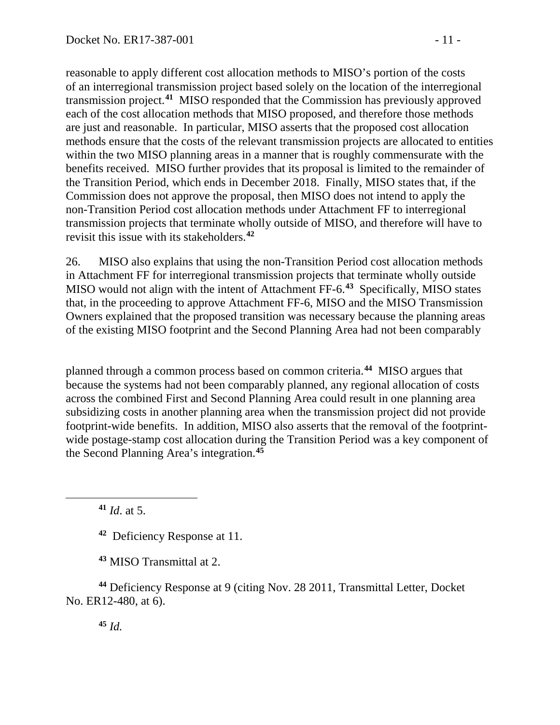reasonable to apply different cost allocation methods to MISO's portion of the costs of an interregional transmission project based solely on the location of the interregional transmission project.**[41](#page-10-0)** MISO responded that the Commission has previously approved each of the cost allocation methods that MISO proposed, and therefore those methods are just and reasonable. In particular, MISO asserts that the proposed cost allocation methods ensure that the costs of the relevant transmission projects are allocated to entities within the two MISO planning areas in a manner that is roughly commensurate with the benefits received. MISO further provides that its proposal is limited to the remainder of the Transition Period, which ends in December 2018. Finally, MISO states that, if the Commission does not approve the proposal, then MISO does not intend to apply the non-Transition Period cost allocation methods under Attachment FF to interregional transmission projects that terminate wholly outside of MISO, and therefore will have to revisit this issue with its stakeholders.**[42](#page-10-1)**

26. MISO also explains that using the non-Transition Period cost allocation methods in Attachment FF for interregional transmission projects that terminate wholly outside MISO would not align with the intent of Attachment FF-6.**[43](#page-10-2)** Specifically, MISO states that, in the proceeding to approve Attachment FF-6, MISO and the MISO Transmission Owners explained that the proposed transition was necessary because the planning areas of the existing MISO footprint and the Second Planning Area had not been comparably

planned through a common process based on common criteria.**[44](#page-10-3)** MISO argues that because the systems had not been comparably planned, any regional allocation of costs across the combined First and Second Planning Area could result in one planning area subsidizing costs in another planning area when the transmission project did not provide footprint-wide benefits. In addition, MISO also asserts that the removal of the footprintwide postage-stamp cost allocation during the Transition Period was a key component of the Second Planning Area's integration. **[45](#page-10-4)**

**<sup>41</sup>** *Id*. at 5.

<span id="page-10-1"></span><span id="page-10-0"></span> $\overline{a}$ 

**<sup>42</sup>** Deficiency Response at 11.

**<sup>43</sup>** MISO Transmittal at 2.

<span id="page-10-4"></span><span id="page-10-3"></span><span id="page-10-2"></span>**<sup>44</sup>** Deficiency Response at 9 (citing Nov. 28 2011, Transmittal Letter, Docket No. ER12-480, at 6).

**<sup>45</sup>** *Id.*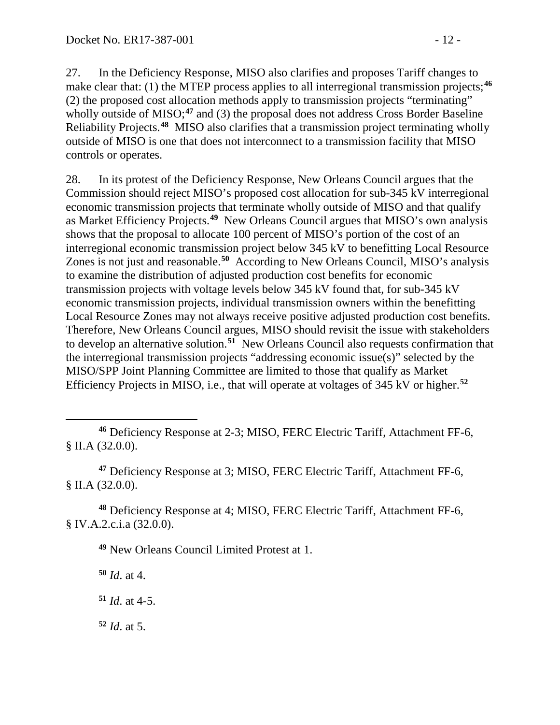27. In the Deficiency Response, MISO also clarifies and proposes Tariff changes to make clear that: (1) the MTEP process applies to all interregional transmission projects; **[46](#page-11-0)** (2) the proposed cost allocation methods apply to transmission projects "terminating" wholly outside of MISO;<sup>[47](#page-11-1)</sup> and (3) the proposal does not address Cross Border Baseline Reliability Projects. **[48](#page-11-2)** MISO also clarifies that a transmission project terminating wholly outside of MISO is one that does not interconnect to a transmission facility that MISO controls or operates.

28. In its protest of the Deficiency Response, New Orleans Council argues that the Commission should reject MISO's proposed cost allocation for sub-345 kV interregional economic transmission projects that terminate wholly outside of MISO and that qualify as Market Efficiency Projects. **[49](#page-11-3)** New Orleans Council argues that MISO's own analysis shows that the proposal to allocate 100 percent of MISO's portion of the cost of an interregional economic transmission project below 345 kV to benefitting Local Resource Zones is not just and reasonable.**[50](#page-11-4)** According to New Orleans Council, MISO's analysis to examine the distribution of adjusted production cost benefits for economic transmission projects with voltage levels below 345 kV found that, for sub-345 kV economic transmission projects, individual transmission owners within the benefitting Local Resource Zones may not always receive positive adjusted production cost benefits. Therefore, New Orleans Council argues, MISO should revisit the issue with stakeholders to develop an alternative solution.**[51](#page-11-5)** New Orleans Council also requests confirmation that the interregional transmission projects "addressing economic issue(s)" selected by the MISO/SPP Joint Planning Committee are limited to those that qualify as Market Efficiency Projects in MISO, i.e., that will operate at voltages of 345 kV or higher.**[52](#page-11-6)**

<span id="page-11-1"></span>**<sup>47</sup>** Deficiency Response at 3; MISO, FERC Electric Tariff, Attachment FF-6, § II.A (32.0.0).

<span id="page-11-4"></span><span id="page-11-3"></span><span id="page-11-2"></span>**<sup>48</sup>** Deficiency Response at 4; MISO, FERC Electric Tariff, Attachment FF-6, § IV.A.2.c.i.a (32.0.0).

**<sup>49</sup>** New Orleans Council Limited Protest at 1.

**<sup>50</sup>** *Id*. at 4.

<span id="page-11-5"></span>**<sup>51</sup>** *Id*. at 4-5.

<span id="page-11-6"></span>**<sup>52</sup>** *Id*. at 5.

<span id="page-11-0"></span> $\overline{a}$ **<sup>46</sup>** Deficiency Response at 2-3; MISO, FERC Electric Tariff, Attachment FF-6, § II.A (32.0.0).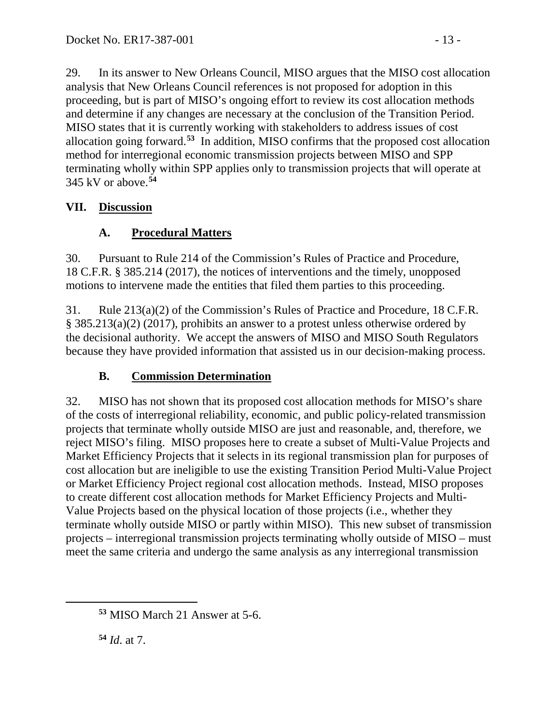29. In its answer to New Orleans Council, MISO argues that the MISO cost allocation analysis that New Orleans Council references is not proposed for adoption in this proceeding, but is part of MISO's ongoing effort to review its cost allocation methods and determine if any changes are necessary at the conclusion of the Transition Period. MISO states that it is currently working with stakeholders to address issues of cost allocation going forward.**[53](#page-12-0)** In addition, MISO confirms that the proposed cost allocation method for interregional economic transmission projects between MISO and SPP terminating wholly within SPP applies only to transmission projects that will operate at 345 kV or above.**[54](#page-12-1)**

### **VII. Discussion**

## **A. Procedural Matters**

30. Pursuant to Rule 214 of the Commission's Rules of Practice and Procedure, 18 C.F.R. § 385.214 (2017), the notices of interventions and the timely, unopposed motions to intervene made the entities that filed them parties to this proceeding.

31. Rule 213(a)(2) of the Commission's Rules of Practice and Procedure, 18 C.F.R. § 385.213(a)(2) (2017), prohibits an answer to a protest unless otherwise ordered by the decisional authority. We accept the answers of MISO and MISO South Regulators because they have provided information that assisted us in our decision-making process.

# **B. Commission Determination**

32. MISO has not shown that its proposed cost allocation methods for MISO's share of the costs of interregional reliability, economic, and public policy-related transmission projects that terminate wholly outside MISO are just and reasonable, and, therefore, we reject MISO's filing. MISO proposes here to create a subset of Multi-Value Projects and Market Efficiency Projects that it selects in its regional transmission plan for purposes of cost allocation but are ineligible to use the existing Transition Period Multi-Value Project or Market Efficiency Project regional cost allocation methods. Instead, MISO proposes to create different cost allocation methods for Market Efficiency Projects and Multi-Value Projects based on the physical location of those projects (i.e., whether they terminate wholly outside MISO or partly within MISO). This new subset of transmission projects – interregional transmission projects terminating wholly outside of MISO – must meet the same criteria and undergo the same analysis as any interregional transmission

**<sup>54</sup>** *Id*. at 7.

<span id="page-12-1"></span><span id="page-12-0"></span> $\overline{a}$ 

**<sup>53</sup>** MISO March 21 Answer at 5-6.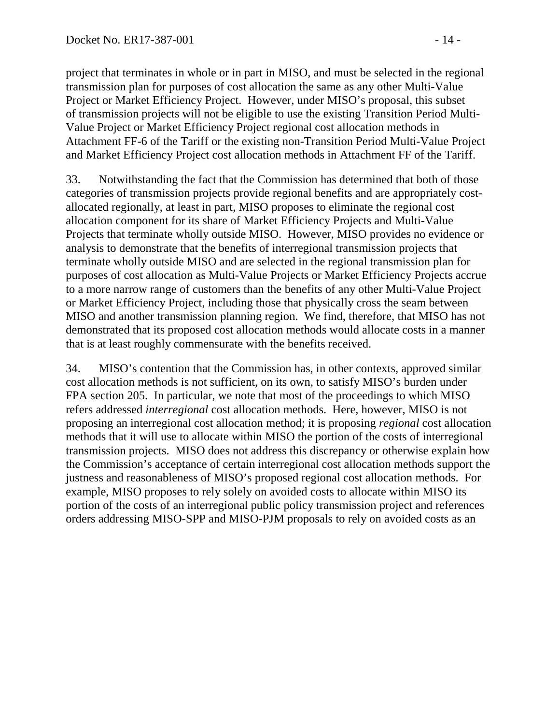project that terminates in whole or in part in MISO, and must be selected in the regional transmission plan for purposes of cost allocation the same as any other Multi-Value Project or Market Efficiency Project. However, under MISO's proposal, this subset of transmission projects will not be eligible to use the existing Transition Period Multi-Value Project or Market Efficiency Project regional cost allocation methods in Attachment FF-6 of the Tariff or the existing non-Transition Period Multi-Value Project and Market Efficiency Project cost allocation methods in Attachment FF of the Tariff.

33. Notwithstanding the fact that the Commission has determined that both of those categories of transmission projects provide regional benefits and are appropriately costallocated regionally, at least in part, MISO proposes to eliminate the regional cost allocation component for its share of Market Efficiency Projects and Multi-Value Projects that terminate wholly outside MISO. However, MISO provides no evidence or analysis to demonstrate that the benefits of interregional transmission projects that terminate wholly outside MISO and are selected in the regional transmission plan for purposes of cost allocation as Multi-Value Projects or Market Efficiency Projects accrue to a more narrow range of customers than the benefits of any other Multi-Value Project or Market Efficiency Project, including those that physically cross the seam between MISO and another transmission planning region. We find, therefore, that MISO has not demonstrated that its proposed cost allocation methods would allocate costs in a manner that is at least roughly commensurate with the benefits received.

34. MISO's contention that the Commission has, in other contexts, approved similar cost allocation methods is not sufficient, on its own, to satisfy MISO's burden under FPA section 205. In particular, we note that most of the proceedings to which MISO refers addressed *interregional* cost allocation methods. Here, however, MISO is not proposing an interregional cost allocation method; it is proposing *regional* cost allocation methods that it will use to allocate within MISO the portion of the costs of interregional transmission projects. MISO does not address this discrepancy or otherwise explain how the Commission's acceptance of certain interregional cost allocation methods support the justness and reasonableness of MISO's proposed regional cost allocation methods. For example, MISO proposes to rely solely on avoided costs to allocate within MISO its portion of the costs of an interregional public policy transmission project and references orders addressing MISO-SPP and MISO-PJM proposals to rely on avoided costs as an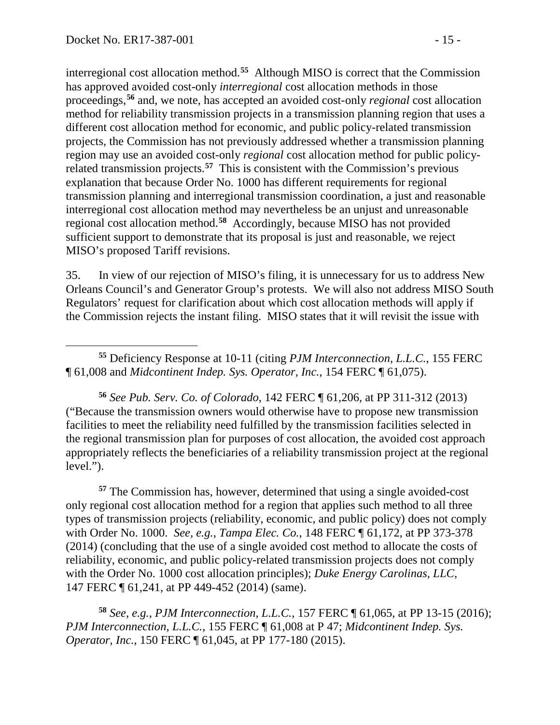$\overline{a}$ 

interregional cost allocation method.**[55](#page-14-0)** Although MISO is correct that the Commission has approved avoided cost-only *interregional* cost allocation methods in those proceedings,**[56](#page-14-1)** and, we note, has accepted an avoided cost-only *regional* cost allocation method for reliability transmission projects in a transmission planning region that uses a different cost allocation method for economic, and public policy-related transmission projects, the Commission has not previously addressed whether a transmission planning region may use an avoided cost-only *regional* cost allocation method for public policyrelated transmission projects.**[57](#page-14-2)** This is consistent with the Commission's previous explanation that because Order No. 1000 has different requirements for regional transmission planning and interregional transmission coordination, a just and reasonable interregional cost allocation method may nevertheless be an unjust and unreasonable regional cost allocation method.**[58](#page-14-3)** Accordingly, because MISO has not provided sufficient support to demonstrate that its proposal is just and reasonable, we reject MISO's proposed Tariff revisions.

35. In view of our rejection of MISO's filing, it is unnecessary for us to address New Orleans Council's and Generator Group's protests. We will also not address MISO South Regulators' request for clarification about which cost allocation methods will apply if the Commission rejects the instant filing. MISO states that it will revisit the issue with

<span id="page-14-0"></span>**<sup>55</sup>** Deficiency Response at 10-11 (citing *PJM Interconnection, L.L.C.*, 155 FERC ¶ 61,008 and *Midcontinent Indep. Sys. Operator, Inc.*, 154 FERC ¶ 61,075).

<span id="page-14-1"></span>**<sup>56</sup>** *See Pub. Serv. Co. of Colorado*, 142 FERC ¶ 61,206, at PP 311-312 (2013) ("Because the transmission owners would otherwise have to propose new transmission facilities to meet the reliability need fulfilled by the transmission facilities selected in the regional transmission plan for purposes of cost allocation, the avoided cost approach appropriately reflects the beneficiaries of a reliability transmission project at the regional level.").

<span id="page-14-2"></span>**<sup>57</sup>** The Commission has, however, determined that using a single avoided-cost only regional cost allocation method for a region that applies such method to all three types of transmission projects (reliability, economic, and public policy) does not comply with Order No. 1000. *See, e.g.*, *Tampa Elec. Co.*, 148 FERC ¶ 61,172, at PP 373-378 (2014) (concluding that the use of a single avoided cost method to allocate the costs of reliability, economic, and public policy-related transmission projects does not comply with the Order No. 1000 cost allocation principles); *Duke Energy Carolinas, LLC*, 147 FERC ¶ 61,241, at PP 449-452 (2014) (same).

<span id="page-14-3"></span>**<sup>58</sup>** *See, e.g.*, *PJM Interconnection, L.L.C.*, 157 FERC ¶ 61,065, at PP 13-15 (2016); *PJM Interconnection, L.L.C.*, 155 FERC ¶ 61,008 at P 47; *Midcontinent Indep. Sys. Operator, Inc.*, 150 FERC ¶ 61,045, at PP 177-180 (2015).